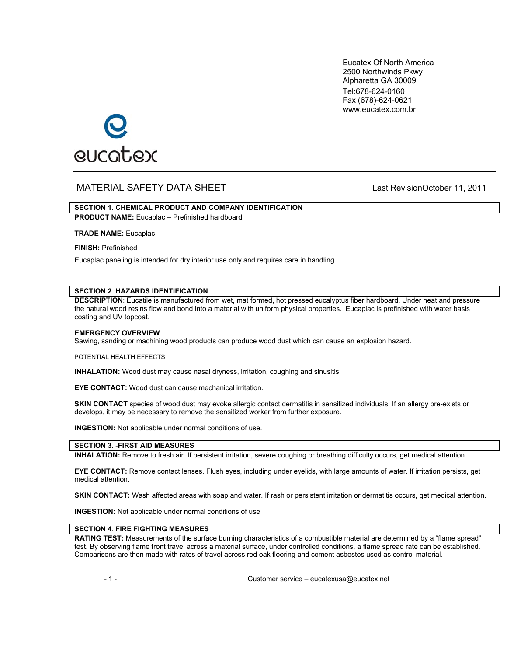Eucatex Of North America 2500 Northwinds Pkwy Alpharetta GA 30009 Tel:678-624-0160 Fax (678)-624-0621 www.eucatex.com.br



# MATERIAL SAFETY DATA SHEET Last RevisionOctober 11, 2011

# **SECTION 1. CHEMICAL PRODUCT AND COMPANY IDENTIFICATION**

**PRODUCT NAME:** Eucaplac – Prefinished hardboard

**TRADE NAME:** Eucaplac

**FINISH:** Prefinished

Eucaplac paneling is intended for dry interior use only and requires care in handling.

# **SECTION 2**. **HAZARDS IDENTIFICATION**

**DESCRIPTION**: Eucatile is manufactured from wet, mat formed, hot pressed eucalyptus fiber hardboard. Under heat and pressure the natural wood resins flow and bond into a material with uniform physical properties. Eucaplac is prefinished with water basis coating and UV topcoat.

### **EMERGENCY OVERVIEW**

Sawing, sanding or machining wood products can produce wood dust which can cause an explosion hazard.

#### POTENTIAL HEALTH EFFECTS

**INHALATION:** Wood dust may cause nasal dryness, irritation, coughing and sinusitis.

**EYE CONTACT:** Wood dust can cause mechanical irritation.

**SKIN CONTACT** species of wood dust may evoke allergic contact dermatitis in sensitized individuals. If an allergy pre-exists or develops, it may be necessary to remove the sensitized worker from further exposure.

**INGESTION:** Not applicable under normal conditions of use.

### **SECTION 3**. -**FIRST AID MEASURES**

**INHALATION:** Remove to fresh air. If persistent irritation, severe coughing or breathing difficulty occurs, get medical attention.

**EYE CONTACT:** Remove contact lenses. Flush eyes, including under eyelids, with large amounts of water. If irritation persists, get medical attention.

**SKIN CONTACT:** Wash affected areas with soap and water. If rash or persistent irritation or dermatitis occurs, get medical attention.

**INGESTION:** Not applicable under normal conditions of use

# **SECTION 4**. **FIRE FIGHTING MEASURES**

**RATING TEST:** Measurements of the surface burning characteristics of a combustible material are determined by a "flame spread" test. By observing flame front travel across a material surface, under controlled conditions, a flame spread rate can be established. Comparisons are then made with rates of travel across red oak flooring and cement asbestos used as control material.

- 1 - Customer service – eucatexusa@eucatex.net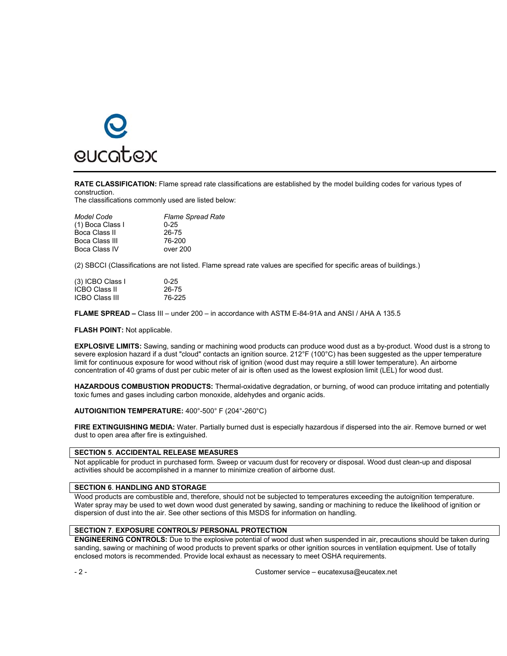

**RATE CLASSIFICATION:** Flame spread rate classifications are established by the model building codes for various types of construction.

The classifications commonly used are listed below:

| <b>Flame Spread Rate</b> |
|--------------------------|
| $0 - 25$                 |
| 26-75                    |
| 76-200                   |
| over 200                 |
|                          |

(2) SBCCI (Classifications are not listed. Flame spread rate values are specified for specific areas of buildings.)

| (3) ICBO Class I      | $0 - 25$ |
|-----------------------|----------|
| <b>ICBO Class II</b>  | 26-75    |
| <b>ICBO Class III</b> | 76-225   |

**FLAME SPREAD –** Class III – under 200 – in accordance with ASTM E-84-91A and ANSI / AHA A 135.5

**FLASH POINT:** Not applicable.

**EXPLOSIVE LIMITS:** Sawing, sanding or machining wood products can produce wood dust as a by-product. Wood dust is a strong to severe explosion hazard if a dust "cloud" contacts an ignition source. 212°F (100°C) has been suggested as the upper temperature limit for continuous exposure for wood without risk of ignition (wood dust may require a still lower temperature). An airborne concentration of 40 grams of dust per cubic meter of air is often used as the lowest explosion limit (LEL) for wood dust.

**HAZARDOUS COMBUSTION PRODUCTS:** Thermal-oxidative degradation, or burning, of wood can produce irritating and potentially toxic fumes and gases including carbon monoxide, aldehydes and organic acids.

**AUTOIGNITION TEMPERATURE:** 400°-500° F (204°-260°C)

**FIRE EXTINGUISHING MEDIA:** Water. Partially burned dust is especially hazardous if dispersed into the air. Remove burned or wet dust to open area after fire is extinguished.

#### **SECTION 5**. **ACCIDENTAL RELEASE MEASURES**

Not applicable for product in purchased form. Sweep or vacuum dust for recovery or disposal. Wood dust clean-up and disposal activities should be accomplished in a manner to minimize creation of airborne dust.

# **SECTION 6**. **HANDLING AND STORAGE**

Wood products are combustible and, therefore, should not be subjected to temperatures exceeding the autoignition temperature. Water spray may be used to wet down wood dust generated by sawing, sanding or machining to reduce the likelihood of ignition or dispersion of dust into the air. See other sections of this MSDS for information on handling.

#### **SECTION 7**. **EXPOSURE CONTROLS/ PERSONAL PROTECTION**

**ENGINEERING CONTROLS:** Due to the explosive potential of wood dust when suspended in air, precautions should be taken during sanding, sawing or machining of wood products to prevent sparks or other ignition sources in ventilation equipment. Use of totally enclosed motors is recommended. Provide local exhaust as necessary to meet OSHA requirements.

- 2 - Customer service – eucatexusa@eucatex.net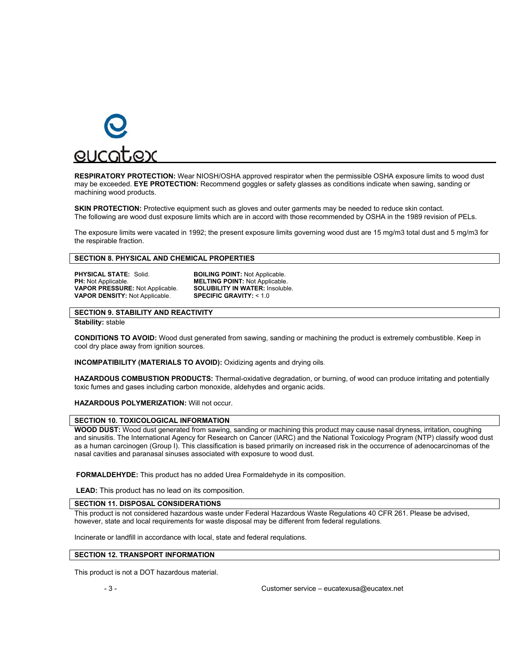

**RESPIRATORY PROTECTION:** Wear NIOSH/OSHA approved respirator when the permissible OSHA exposure limits to wood dust may be exceeded. **EYE PROTECTION:** Recommend goggles or safety glasses as conditions indicate when sawing, sanding or machining wood products.

**SKIN PROTECTION:** Protective equipment such as gloves and outer garments may be needed to reduce skin contact. The following are wood dust exposure limits which are in accord with those recommended by OSHA in the 1989 revision of PELs.

The exposure limits were vacated in 1992; the present exposure limits governing wood dust are 15 mg/m3 total dust and 5 mg/m3 for the respirable fraction.

### **SECTION 8. PHYSICAL AND CHEMICAL PROPERTIES**

**PHYSICAL STATE:** Solid. **BOILING POINT:** Not Applicable.<br> **PH:** Not Applicable. **BOILING POINT:** Not Applicable **VAPOR PRESSURE: Not Applicable. VAPOR DENSITY:** Not Applicable. **SPECIFIC GRAVITY:** < 1.0

**MELTING POINT: Not Applicable.<br><b>SOLUBILITY IN WATER:** Insoluble.

### **SECTION 9. STABILITY AND REACTIVITY**

**Stability:** stable

**CONDITIONS TO AVOID:** Wood dust generated from sawing, sanding or machining the product is extremely combustible. Keep in cool dry place away from ignition sources.

**INCOMPATIBILITY (MATERIALS TO AVOID):** Oxidizing agents and drying oils.

**HAZARDOUS COMBUSTION PRODUCTS:** Thermal-oxidative degradation, or burning, of wood can produce irritating and potentially toxic fumes and gases including carbon monoxide, aldehydes and organic acids.

**HAZARDOUS POLYMERIZATION:** Will not occur.

### **SECTION 10. TOXICOLOGICAL INFORMATION**

**WOOD DUST:** Wood dust generated from sawing, sanding or machining this product may cause nasal dryness, irritation, coughing and sinusitis. The International Agency for Research on Cancer (IARC) and the National Toxicology Program (NTP) classify wood dust as a human carcinogen (Group I). This classification is based primarily on increased risk in the occurrence of adenocarcinomas of the nasal cavities and paranasal sinuses associated with exposure to wood dust.

**FORMALDEHYDE:** This product has no added Urea Formaldehyde in its composition.

**LEAD:** This product has no lead on its composition.

### **SECTION 11. DISPOSAL CONSIDERATIONS**

This product is not considered hazardous waste under Federal Hazardous Waste Regulations 40 CFR 261. Please be advised, however, state and local requirements for waste disposal may be different from federal regulations.

Incinerate or landfill in accordance with local, state and federal requlations.

#### **SECTION 12. TRANSPORT INFORMATION**

This product is not a DOT hazardous material.

- 3 - Customer service – eucatexusa@eucatex.net